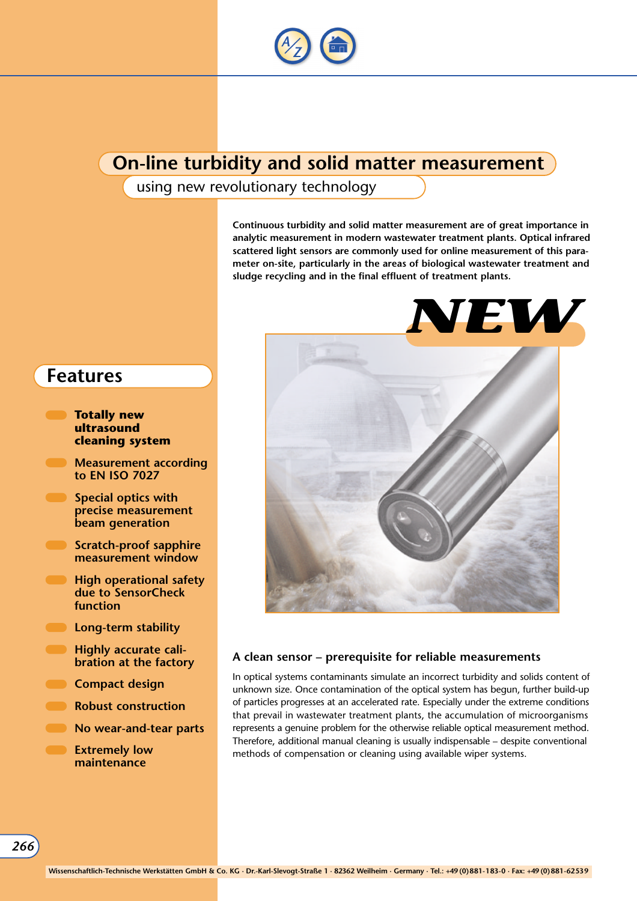

### **On-line turbidity and solid matter measurement**

using new revolutionary technology

**Continuous turbidity and solid matter measurement are of great importance in analytic measurement in modern wastewater treatment plants. Optical infrared scattered light sensors are commonly used for online measurement of this parameter on-site, particularly in the areas of biological wastewater treatment and sludge recycling and in the final effluent of treatment plants.**



### **A clean sensor – prerequisite for reliable measurements**

In optical systems contaminants simulate an incorrect turbidity and solids content of unknown size. Once contamination of the optical system has begun, further build-up of particles progresses at an accelerated rate. Especially under the extreme conditions that prevail in wastewater treatment plants, the accumulation of microorganisms represents a genuine problem for the otherwise reliable optical measurement method. Therefore, additional manual cleaning is usually indispensable – despite conventional methods of compensation or cleaning using available wiper systems.

### **Features**

- **Totally new ultrasound cleaning system**
- **Measurement according to EN ISO 7027**
- **Special optics with precise measurement beam generation**
- **Scratch-proof sapphire measurement window**
- **High operational safety due to SensorCheck function**
- **Long-term stability**
- **Highly accurate calibration at the factory**
- **Compact design**
- **Robust construction**
- **No wear-and-tear parts**
- **Extremely low maintenance**